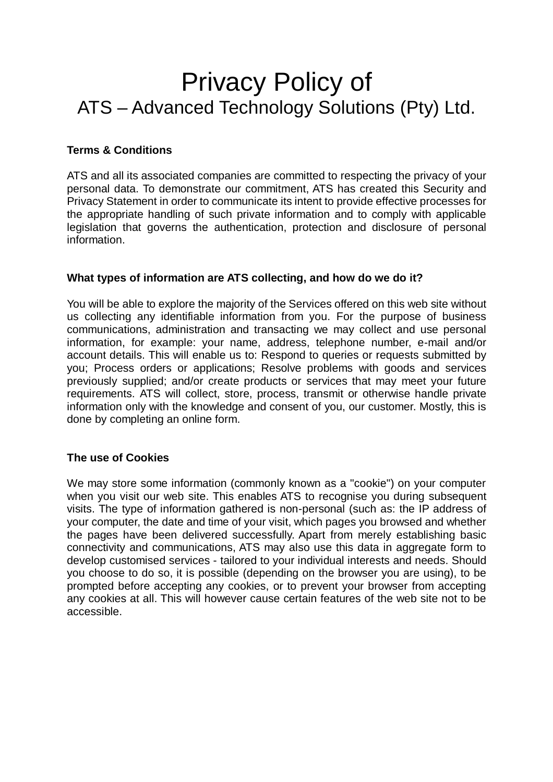# Privacy Policy of ATS – Advanced Technology Solutions (Pty) Ltd.

## **Terms & Conditions**

ATS and all its associated companies are committed to respecting the privacy of your personal data. To demonstrate our commitment, ATS has created this Security and Privacy Statement in order to communicate its intent to provide effective processes for the appropriate handling of such private information and to comply with applicable legislation that governs the authentication, protection and disclosure of personal information.

### **What types of information are ATS collecting, and how do we do it?**

You will be able to explore the majority of the Services offered on this web site without us collecting any identifiable information from you. For the purpose of business communications, administration and transacting we may collect and use personal information, for example: your name, address, telephone number, e-mail and/or account details. This will enable us to: Respond to queries or requests submitted by you; Process orders or applications; Resolve problems with goods and services previously supplied; and/or create products or services that may meet your future requirements. ATS will collect, store, process, transmit or otherwise handle private information only with the knowledge and consent of you, our customer. Mostly, this is done by completing an online form.

### **The use of Cookies**

We may store some information (commonly known as a "cookie") on your computer when you visit our web site. This enables ATS to recognise you during subsequent visits. The type of information gathered is non-personal (such as: the IP address of your computer, the date and time of your visit, which pages you browsed and whether the pages have been delivered successfully. Apart from merely establishing basic connectivity and communications, ATS may also use this data in aggregate form to develop customised services - tailored to your individual interests and needs. Should you choose to do so, it is possible (depending on the browser you are using), to be prompted before accepting any cookies, or to prevent your browser from accepting any cookies at all. This will however cause certain features of the web site not to be accessible.